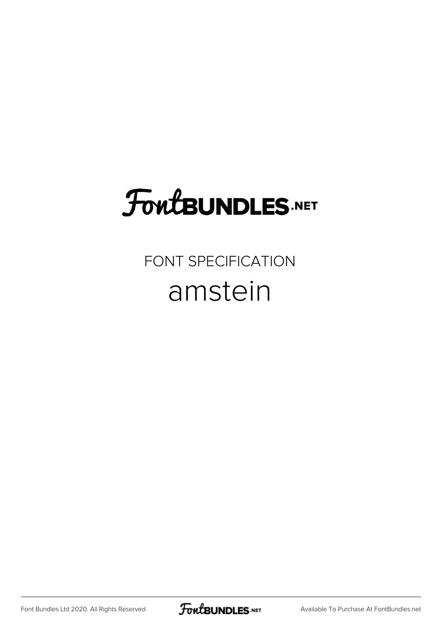# **FoutBUNDLES.NET**

## FONT SPECIFICATION amstein

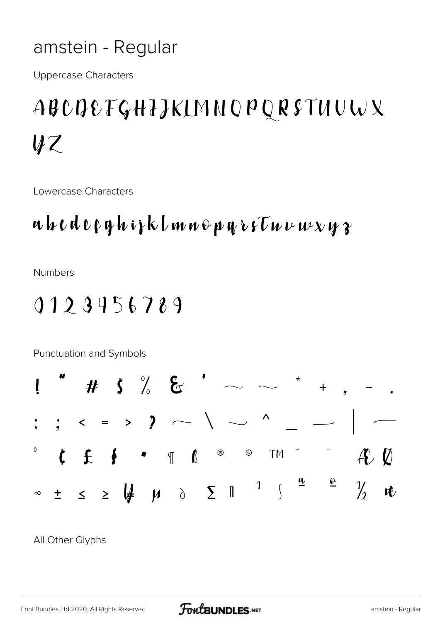### amstein - Regular

**Uppercase Characters** 

## ABCDEFGHIJKLMNOPQRSTUUWX  $\mathcal{U}\mathcal{Z}$

Lowercase Characters

## $\mathbf{u}$   $\mathbf{b}$   $\mathbf{c}$   $\mathbf{d}$   $\mathbf{e}$   $\mathbf{e}$   $\mathbf{q}$   $\mathbf{h}$   $\mathbf{v}$   $\mathbf{b}$   $\mathbf{b}$   $\mathbf{w}$   $\mathbf{w}$   $\mathbf{e}$   $\mathbf{v}$   $\mathbf{v}$   $\mathbf{v}$   $\mathbf{v}$   $\mathbf{v}$   $\mathbf{v}$   $\mathbf{v}$   $\mathbf{v}$   $\mathbf{v}$   $\mathbf{v}$   $\mathbf{$

**Numbers** 

## 0123456789

Punctuation and Symbols  $#$  \$ % &  $'$  $\mathbf{l}$  $\ddot{}$  $\frac{1}{2}$  ,  $\leftarrow$  = >  $\frac{1}{2}$  ,  $\leftarrow$  \  $\frac{1}{2}$  ,  $\frac{1}{2}$  $t f / \sqrt{4} f$   $\delta$ i  $\mu$   $\mu$  $\overline{\left\langle \right\rangle }$  $\ll$  $\eta$  $\frac{9}{100}$  $\mathbf 0$  $\sqrt{\frac{1}{2}}$  $\ddagger$  '  $\mu$  $\uparrow$  $\gg$  $\mathbf{u}$ 

All Other Glyphs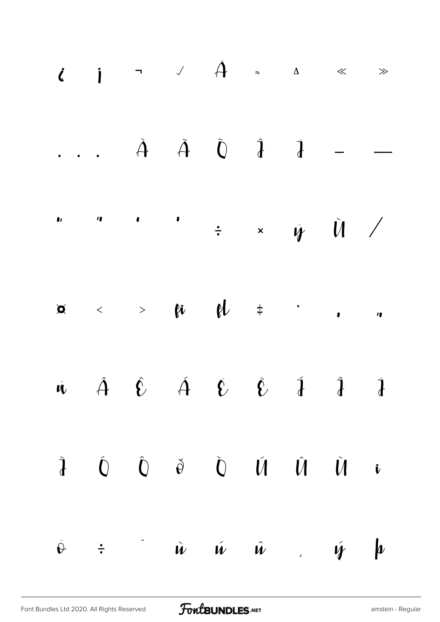|  |  | $\tilde{A}$ and $\tilde{A}$ and $\tilde{A}$ and $\tilde{A}$ and $\tilde{A}$                                                                                                                                                                                                                                   |  |                    |
|--|--|---------------------------------------------------------------------------------------------------------------------------------------------------------------------------------------------------------------------------------------------------------------------------------------------------------------|--|--------------------|
|  |  | $\begin{array}{ccc} \hat{\mathbf{c}} & \circ & \circ \\ \end{array}$ , $\begin{array}{ccc} \hat{\mathbf{d}} & \circ & \circ \\ \end{array}$ , $\begin{array}{ccc} \hat{\mathbf{d}} & \circ & \circ \\ \end{array}$                                                                                            |  |                    |
|  |  |                                                                                                                                                                                                                                                                                                               |  |                    |
|  |  | $\hat{U}$ $\hat{U}$ $\hat{U}$ $\hat{V}$ $\hat{V}$ $\hat{\alpha}$ $\hat{\alpha}$ $\frac{a}{c}$                                                                                                                                                                                                                 |  |                    |
|  |  | $\dot{a}$ $\dot{a}$ $\dot{a}$ $\dot{c}$ $\dot{c}$ $\frac{1}{2}$ $\frac{1}{2}$ $\frac{1}{2}$ $\frac{1}{2}$ $\frac{1}{2}$ $\frac{1}{2}$ $\frac{1}{2}$ $\frac{1}{2}$ $\frac{1}{2}$ $\frac{1}{2}$ $\frac{1}{2}$ $\frac{1}{2}$ $\frac{1}{2}$ $\frac{1}{2}$ $\frac{1}{2}$ $\frac{1}{2}$ $\frac{1}{2}$ $\frac{1}{2}$ |  |                    |
|  |  | $\hat{\mathbf{i}}$ $\hat{\mathbf{i}}$ $\hat{\mathbf{i}}$ $\hat{\mathbf{v}}$ $\hat{\mathbf{v}}$ $\hat{\mathbf{v}}$ $\hat{\mathbf{v}}$ $\hat{\mathbf{v}}$ $\hat{\mathbf{v}}$ $\hat{\mathbf{v}}$ $\hat{\mathbf{v}}$                                                                                              |  |                    |
|  |  | $\phi$ : $\phi$ OC B $\dot{u}$ $\dot{y}$                                                                                                                                                                                                                                                                      |  | $\boldsymbol{\mu}$ |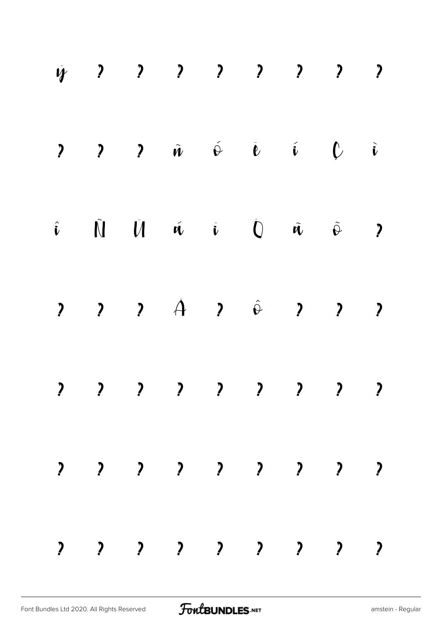|  |  |                                             |  | 4 ? ? ? ? ? ? ? ? ?                                                    |                          |
|--|--|---------------------------------------------|--|------------------------------------------------------------------------|--------------------------|
|  |  | $\begin{array}{cccc} 2 & 2 & 2 \end{array}$ |  |                                                                        |                          |
|  |  |                                             |  |                                                                        | $\overline{\phantom{a}}$ |
|  |  |                                             |  | $\begin{array}{ccccccccccccc}\n2 & 2 & 2 & 2 & 2 & 2 & 2\n\end{array}$ |                          |
|  |  |                                             |  | ? ? ? ? ? ? ? ? ?                                                      |                          |
|  |  |                                             |  | $2$ , $2$ , $2$ , $2$ , $2$ , $2$                                      |                          |
|  |  |                                             |  | $2$ , $2$ , $2$ , $2$ , $2$ , $2$                                      |                          |